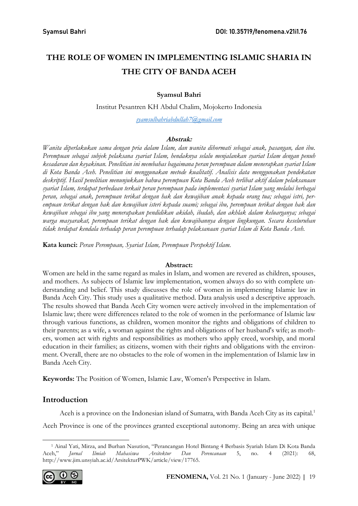# THE ROLE OF WOMEN IN IMPLEMENTING ISLAMIC SHARIA IN THE CITY OF BANDA ACEH

### Syamsul Bahri

Institut Pesantren KH Abdul Chalim, Mojokerto Indonesia

syamsulbahriabdullah7@gmail.com

### Abstrak:

Wanita diperlakukan sama dengan pria dalam Islam, dan wanita dihormati sebagai anak, pasangan, dan ibu. Perempuan sebagai subjek pelaksana syariat Islam, hendaknya selalu menjalankan syariat Islam dengan penuh kesadaran dan keyakinan. Penelitian ini membahas bagaimana peran perempuan dalam menerapkan syariat Islam di Kota Banda Aceh. Penelitian ini menggunakan metode kualitatif. Analisis data menggunakan pendekatan deskriptif. Hasil penelitian menunjukkan bahwa perempuan Kota Banda Aceh terlibat aktif dalam pelaksanaan syariat Islam, terdapat perbedaan terkait peran perempuan pada implementasi syariat Islam yang melalui berbagai peran, sebagai anak, perempuan terikat dengan hak dan kewajiban anak kepada orang tua; sebagai istri, perempuan terikat dengan hak dan kewajiban isteri kepada suami; sebagai ibu, perempuan terikat dengan hak dan kewajiban sebagai ibu yang menerapakan pendidikan akidah, ibadah, dan akhlak dalam keluarganya; sebagai warga masyarakat, perempuan terikat dengan hak dan kewajibannya dengan lingkungan. Secara keseluruhan tidak terdapat kendala terhadap peran perempuan terhadap pelaksanaan syariat Islam di Kota Banda Aceh.

Kata kunci: Peran Perempuan, Syariat Islam, Perempuan Perspektif Islam.

### Abstract:

Women are held in the same regard as males in Islam, and women are revered as children, spouses, and mothers. As subjects of Islamic law implementation, women always do so with complete understanding and belief. This study discusses the role of women in implementing Islamic law in Banda Aceh City. This study uses a qualitative method. Data analysis used a descriptive approach. The results showed that Banda Aceh City women were actively involved in the implementation of Islamic law; there were differences related to the role of women in the performance of Islamic law through various functions, as children, women monitor the rights and obligations of children to their parents; as a wife, a woman against the rights and obligations of her husband's wife; as mothers, women act with rights and responsibilities as mothers who apply creed, worship, and moral education in their families; as citizens, women with their rights and obligations with the environment. Overall, there are no obstacles to the role of women in the implementation of Islamic law in Banda Aceh City.

Keywords: The Position of Women, Islamic Law, Women's Perspective in Islam.

## Introduction

Aceh is a province on the Indonesian island of Sumatra, with Banda Aceh City as its capital.<sup>1</sup>

Aceh Province is one of the provinces granted exceptional autonomy. Being an area with unique

<sup>1</sup> Ainal Yati, Mirza, and Burhan Nasution, "Perancangan Hotel Bintang 4 Berbasis Syariah Islam Di Kota Banda Aceh," Jurnal Ilmiah Mahasiswa Arsitektur Dan Perencanaan 5, no. 4 (2021): 68, http://www.jim.unsyiah.ac.id/ArsitekturPWK/article/view/17765.

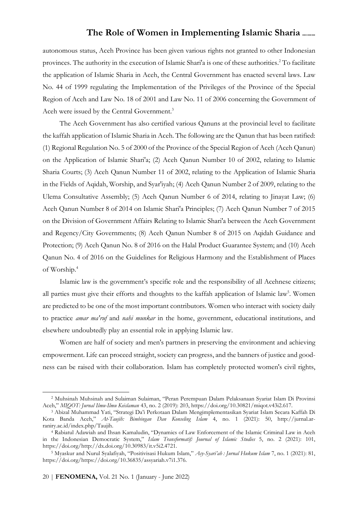autonomous status, Aceh Province has been given various rights not granted to other Indonesian provinces. The authority in the execution of Islamic Shari'a is one of these authorities.<sup>2</sup> To facilitate the application of Islamic Sharia in Aceh, the Central Government has enacted several laws. Law No. 44 of 1999 regulating the Implementation of the Privileges of the Province of the Special Region of Aceh and Law No. 18 of 2001 and Law No. 11 of 2006 concerning the Government of Aceh were issued by the Central Government.<sup>3</sup>

The Aceh Government has also certified various Qanuns at the provincial level to facilitate the kaffah application of Islamic Sharia in Aceh. The following are the Qanun that has been ratified: (1) Regional Regulation No. 5 of 2000 of the Province of the Special Region of Aceh (Aceh Qanun) on the Application of Islamic Shari'a; (2) Aceh Qanun Number 10 of 2002, relating to Islamic Sharia Courts; (3) Aceh Qanun Number 11 of 2002, relating to the Application of Islamic Sharia in the Fields of Aqidah, Worship, and Syar'iyah; (4) Aceh Qanun Number 2 of 2009, relating to the Ulema Consultative Assembly; (5) Aceh Qanun Number 6 of 2014, relating to Jinayat Law; (6) Aceh Qanun Number 8 of 2014 on Islamic Shari'a Principles; (7) Aceh Qanun Number 7 of 2015 on the Division of Government Affairs Relating to Islamic Shari'a between the Aceh Government and Regency/City Governments; (8) Aceh Qanun Number 8 of 2015 on Aqidah Guidance and Protection; (9) Aceh Qanun No. 8 of 2016 on the Halal Product Guarantee System; and (10) Aceh Qanun No. 4 of 2016 on the Guidelines for Religious Harmony and the Establishment of Places of Worship.<sup>4</sup>

Islamic law is the government's specific role and the responsibility of all Acehnese citizens; all parties must give their efforts and thoughts to the kaffah application of Islamic law<sup>5</sup>. Women are predicted to be one of the most important contributors. Women who interact with society daily to practice *amar ma'ruf* and *nahi munkar* in the home, government, educational institutions, and elsewhere undoubtedly play an essential role in applying Islamic law.

Women are half of society and men's partners in preserving the environment and achieving empowerment. Life can proceed straight, society can progress, and the banners of justice and goodness can be raised with their collaboration. Islam has completely protected women's civil rights,

<sup>2</sup> Muhsinah Muhsinah and Sulaiman Sulaiman, "Peran Perempuan Dalam Pelaksanaan Syariat Islam Di Provinsi Aceh," MIQOT: Jurnal Ilmu-Ilmu Keislaman 43, no. 2 (2019): 203, https://doi.org/10.30821/miqot.v43i2.617.

<sup>3</sup> Abizal Muhammad Yati, "Strategi Da'i Perkotaan Dalam Mengimplementasikan Syariat Islam Secara Kaffah Di Kota Banda Aceh," At-Taujih: Bimbingan Dan Konseling Islam 4, no. 1 (2021): 50, http://jurnal.arraniry.ac.id/index.php/Taujih.

<sup>4</sup> Rabiatul Adawiah and Ihsan Kamaludin, "Dynamics of Law Enforcement of the Islamic Criminal Law in Aceh in the Indonesian Democratic System," Islam Transformatif: Journal of Islamic Studies 5, no. 2 (2021): 101, https://doi.org/http://dx.doi.org/10.30983/it.v5i2.4721.

<sup>5</sup> Myaskur and Nurul Syalafiyah, "Positivisasi Hukum Islam," Asy-Syari'ah : Jurnal Hukum Islam 7, no. 1 (2021): 81, https://doi.org/https://doi.org/10.36835/assyariah.v7i1.376.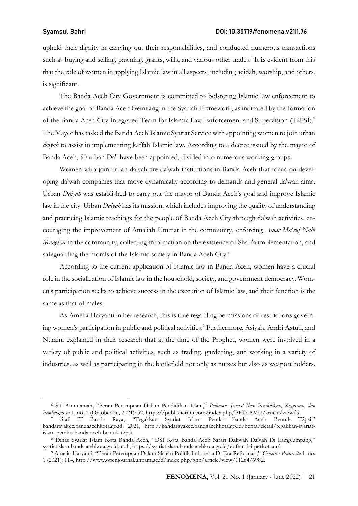upheld their dignity in carrying out their responsibilities, and conducted numerous transactions such as buying and selling, pawning, grants, wills, and various other trades.<sup>6</sup> It is evident from this that the role of women in applying Islamic law in all aspects, including aqidah, worship, and others, is significant.

The Banda Aceh City Government is committed to bolstering Islamic law enforcement to achieve the goal of Banda Aceh Gemilang in the Syariah Framework, as indicated by the formation of the Banda Aceh City Integrated Team for Islamic Law Enforcement and Supervision (T2PSI).<sup>7</sup> The Mayor has tasked the Banda Aceh Islamic Syariat Service with appointing women to join urban daiyah to assist in implementing kaffah Islamic law. According to a decree issued by the mayor of Banda Aceh, 50 urban Da'i have been appointed, divided into numerous working groups.

Women who join urban daiyah are da'wah institutions in Banda Aceh that focus on developing da'wah companies that move dynamically according to demands and general da'wah aims. Urban Daiyah was established to carry out the mayor of Banda Aceh's goal and improve Islamic law in the city. Urban *Daiyah* has its mission, which includes improving the quality of understanding and practicing Islamic teachings for the people of Banda Aceh City through da'wah activities, encouraging the improvement of Amaliah Ummat in the community, enforcing Amar Ma'ruf Nahi Mungkar in the community, collecting information on the existence of Shari'a implementation, and safeguarding the morals of the Islamic society in Banda Aceh City.<sup>8</sup>

According to the current application of Islamic law in Banda Aceh, women have a crucial role in the socialization of Islamic law in the household, society, and government democracy. Women's participation seeks to achieve success in the execution of Islamic law, and their function is the same as that of males.

As Amelia Haryanti in her research, this is true regarding permissions or restrictions governing women's participation in public and political activities.<sup>9</sup> Furthermore, Asiyah, Andri Astuti, and Nuraini explained in their research that at the time of the Prophet, women were involved in a variety of public and political activities, such as trading, gardening, and working in a variety of industries, as well as participating in the battlefield not only as nurses but also as weapon holders.

<sup>&</sup>lt;sup>6</sup> Siti Almutamah, "Peran Perempuan Dalam Pendidikan Islam," Pediamu: Jurnal Ilmu Pendidikan, Keguruan, dan Pembelajaran 1, no. 1 (October 26, 2021): 52, https://publishermu.com/index.php/PEDIAMU/article/view/5.

<sup>7</sup> Staf IT Banda Raya, "Tegakkan Syariat Islam Pemko Banda Aceh Bentuk T2psi," bandarayakec.bandaacehkota.go.id, 2021, http://bandarayakec.bandaacehkota.go.id/berita/detail/tegakkan-syariatislam-pemko-banda-aceh-bentuk-t2psi.

<sup>8</sup> Dinas Syariat Islam Kota Banda Aceh, "DSI Kota Banda Aceh Safari Dakwah Daiyah Di Lamglumpang," syariatislam.bandaacehkota.go.id, n.d., https://syariatislam.bandaacehkota.go.id/daftar-dai-perkotaan/.

<sup>&</sup>lt;sup>9</sup> Amelia Haryanti, "Peran Perempuan Dalam Sistem Politik Indonesia Di Era Reformasi," Generasi Pancasila 1, no. 1 (2021): 114, http://www.openjournal.unpam.ac.id/index.php/gnp/article/view/11264/6982.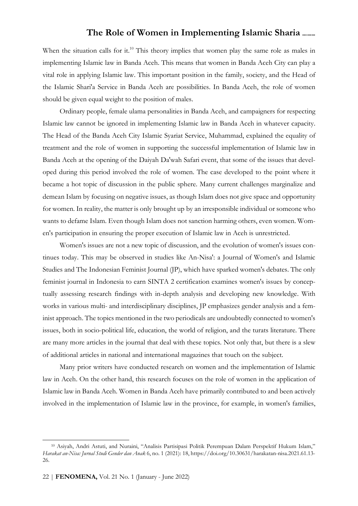When the situation calls for it.<sup>10</sup> This theory implies that women play the same role as males in implementing Islamic law in Banda Aceh. This means that women in Banda Aceh City can play a vital role in applying Islamic law. This important position in the family, society, and the Head of the Islamic Shari'a Service in Banda Aceh are possibilities. In Banda Aceh, the role of women should be given equal weight to the position of males.

Ordinary people, female ulama personalities in Banda Aceh, and campaigners for respecting Islamic law cannot be ignored in implementing Islamic law in Banda Aceh in whatever capacity. The Head of the Banda Aceh City Islamic Syariat Service, Muhammad, explained the equality of treatment and the role of women in supporting the successful implementation of Islamic law in Banda Aceh at the opening of the Daiyah Da'wah Safari event, that some of the issues that developed during this period involved the role of women. The case developed to the point where it became a hot topic of discussion in the public sphere. Many current challenges marginalize and demean Islam by focusing on negative issues, as though Islam does not give space and opportunity for women. In reality, the matter is only brought up by an irresponsible individual or someone who wants to defame Islam. Even though Islam does not sanction harming others, even women. Women's participation in ensuring the proper execution of Islamic law in Aceh is unrestricted.

Women's issues are not a new topic of discussion, and the evolution of women's issues continues today. This may be observed in studies like An-Nisa': a Journal of Women's and Islamic Studies and The Indonesian Feminist Journal (JP), which have sparked women's debates. The only feminist journal in Indonesia to earn SINTA 2 certification examines women's issues by conceptually assessing research findings with in-depth analysis and developing new knowledge. With works in various multi- and interdisciplinary disciplines, JP emphasizes gender analysis and a feminist approach. The topics mentioned in the two periodicals are undoubtedly connected to women's issues, both in socio-political life, education, the world of religion, and the turats literature. There are many more articles in the journal that deal with these topics. Not only that, but there is a slew of additional articles in national and international magazines that touch on the subject.

Many prior writers have conducted research on women and the implementation of Islamic law in Aceh. On the other hand, this research focuses on the role of women in the application of Islamic law in Banda Aceh. Women in Banda Aceh have primarily contributed to and been actively involved in the implementation of Islamic law in the province, for example, in women's families,

<sup>10</sup> Asiyah, Andri Astuti, and Nuraini, "Analisis Partisipasi Politik Perempuan Dalam Perspektif Hukum Islam," Harakat an-Nisa: Jurnal Studi Gender dan Anak 6, no. 1 (2021): 18, https://doi.org/10.30631/harakatan-nisa.2021.61.13- 26.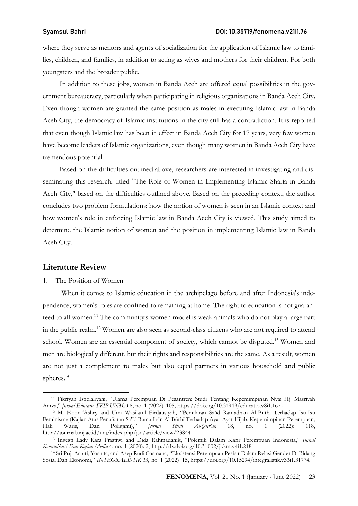### Syamsul Bahri DOI: 10.35719/fenomena.v21i1.76

where they serve as mentors and agents of socialization for the application of Islamic law to families, children, and families, in addition to acting as wives and mothers for their children. For both youngsters and the broader public.

In addition to these jobs, women in Banda Aceh are offered equal possibilities in the government bureaucracy, particularly when participating in religious organizations in Banda Aceh City. Even though women are granted the same position as males in executing Islamic law in Banda Aceh City, the democracy of Islamic institutions in the city still has a contradiction. It is reported that even though Islamic law has been in effect in Banda Aceh City for 17 years, very few women have become leaders of Islamic organizations, even though many women in Banda Aceh City have tremendous potential.

Based on the difficulties outlined above, researchers are interested in investigating and disseminating this research, titled "The Role of Women in Implementing Islamic Sharia in Banda Aceh City," based on the difficulties outlined above. Based on the preceding context, the author concludes two problem formulations: how the notion of women is seen in an Islamic context and how women's role in enforcing Islamic law in Banda Aceh City is viewed. This study aimed to determine the Islamic notion of women and the position in implementing Islamic law in Banda Aceh City.

### Literature Review

### 1. The Position of Women

When it comes to Islamic education in the archipelago before and after Indonesia's independence, women's roles are confined to remaining at home. The right to education is not guaranteed to all women.<sup>11</sup> The community's women model is weak animals who do not play a large part in the public realm.<sup>12</sup> Women are also seen as second-class citizens who are not required to attend school. Women are an essential component of society, which cannot be disputed.<sup>13</sup> Women and men are biologically different, but their rights and responsibilities are the same. As a result, women are not just a complement to males but also equal partners in various household and public spheres.<sup>14</sup>

<sup>11</sup> Fikriyah Istiqlaliyani, "Ulama Perempuan Di Pesantren: Studi Tentang Kepemimpinan Nyai Hj. Masriyah Amva," Jurnal Educatio FKIP UNMA 8, no. 1 (2022): 105, https://doi.org/10.31949/educatio.v8i1.1670.

<sup>12</sup> M. Noor 'Ashry and Umi Wasilatul Firdausiyah, "Pemikiran Sa'īd Ramadhān Al-Būthī Terhadap Isu-Isu Feminisme (Kajian Atas Penafsiran Sa'īd Ramadhān Al-Būthī Terhadap Ayat-Ayat Hijab, Kepemimpinan Perempuan,<br>Hak Waris, Dan Poligami)," *Jurnal Studi Al-Our'an* 18, no. 1 (2022): 118, Hak Waris, Dan Poligami)," Jurnal Studi Al-Qur'an 18, no. 1 (2022): 118, http://journal.unj.ac.id/unj/index.php/jsq/article/view/23844.

<sup>&</sup>lt;sup>13</sup> Ingesti Lady Rara Prastiwi and Dida Rahmadanik, "Polemik Dalam Karir Perempuan Indonesia," Jurnal Komunikasi Dan Kajian Media 4, no. 1 (2020): 2, http://dx.doi.org/10.31002/jkkm.v4i1.2181.

<sup>14</sup> Sri Puji Astuti, Yasnita, and Asep Rudi Casmana, "Eksistensi Perempuan Pesisir Dalam Relasi Gender Di Bidang Sosial Dan Ekonomi," INTEGRALISTIK 33, no. 1 (2022): 15, https://doi.org/10.15294/integralistik.v33i1.31774.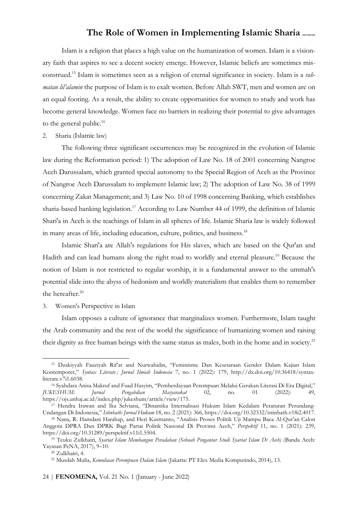Islam is a religion that places a high value on the humanization of women. Islam is a visionary faith that aspires to see a decent society emerge. However, Islamic beliefs are sometimes misconstrued.<sup>15</sup> Islam is sometimes seen as a religion of eternal significance in society. Islam is a *rah*matan lil'alamin the purpose of Islam is to exalt women. Before Allah SWT, men and women are on an equal footing. As a result, the ability to create opportunities for women to study and work has become general knowledge. Women face no barriers in realizing their potential to give advantages to the general public. $16$ 

2. Sharia (Islamic law)

The following three significant occurrences may be recognized in the evolution of Islamic law during the Reformation period: 1) The adoption of Law No. 18 of 2001 concerning Nangroe Aceh Darussalam, which granted special autonomy to the Special Region of Aceh as the Province of Nangroe Aceh Darussalam to implement Islamic law; 2) The adoption of Law No. 38 of 1999 concerning Zakat Management; and 3) Law No. 10 of 1998 concerning Banking, which establishes sharia-based banking legislation.<sup>17</sup> According to Law Number 44 of 1999, the definition of Islamic Shari'a in Aceh is the teachings of Islam in all spheres of life. Islamic Sharia law is widely followed in many areas of life, including education, culture, politics, and business. 18

Islamic Shari'a are Allah's regulations for His slaves, which are based on the Qur'an and Hadith and can lead humans along the right road to worldly and eternal pleasure.<sup>19</sup> Because the notion of Islam is not restricted to regular worship, it is a fundamental answer to the ummah's potential slide into the abyss of hedonism and worldly materialism that enables them to remember the hereafter.<sup>20</sup>

3. Women's Perspective in Islam

Islam opposes a culture of ignorance that marginalizes women. Furthermore, Islam taught the Arab community and the rest of the world the significance of humanizing women and raising their dignity as free human beings with the same status as males, both in the home and in society.<sup>21</sup>

<sup>15</sup> Dzakiyyah Fauziyah Rif'at and Nurwahidin, "Feminisme Dan Kesetaraan Gender Dalam Kajian Islam Kontemporer," Syntax Literate; Jurnal Ilmiah Indonesia 7, no. 1 (2022): 179, http://dx.doi.org/10.36418/syntaxliterate.v7i1.6038.

<sup>16</sup> Syahdara Anisa Makruf and Fuad Hasyim, "Pemberdayaan Perempuan Melalui Gerakan Literasi Di Era Digital," JUKESHUM: Jurnal Pengabdian Masyarakat 02, no. 01 (2022): 49, https://ojs.unhaj.ac.id/index.php/jukeshum/article/view/175.

<sup>17</sup> Hendra Irawan and Ika Selviana, "Dinamika Internalisasi Hukum Islam Kedalam Peraturan Perundang-Undangan Di Indonesia," Istinbath: Jurnal Hukum 18, no. 2 (2021): 366, https://doi.org/10.32332/istinbath.v18i2.4017.

<sup>18</sup> Nana, R. Hamdani Harahap, and Heri Kusmanto, "Analisis Proses Politik Uji Mampu Baca Al-Qur'an Calon Anggota DPRA Dan DPRK Bagi Partai Politik Nasional Di Provinsi Aceh," Perspektif 11, no. 1 (2021): 239, https://doi.org/10.31289/perspektif.v11i1.5504.

<sup>&</sup>lt;sup>19</sup> Teuku Zulkhairi, Syariat Islam Membangun Peradaban (Sebuah Pengantar Studi Syariat Islam Di Aceh) (Banda Aceh: Yayasan PeNA, 2017), 9–10.

<sup>20</sup> Zulkhairi, 4.

<sup>21</sup> Musdah Mulia, Kemuliaan Perempuan Dalam Islam (Jakarta: PT Elex Media Komputindo, 2014), 13.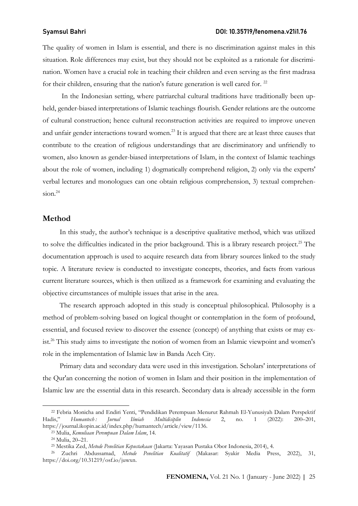The quality of women in Islam is essential, and there is no discrimination against males in this situation. Role differences may exist, but they should not be exploited as a rationale for discrimination. Women have a crucial role in teaching their children and even serving as the first madrasa for their children, ensuring that the nation's future generation is well cared for.  $22$ 

In the Indonesian setting, where patriarchal cultural traditions have traditionally been upheld, gender-biased interpretations of Islamic teachings flourish. Gender relations are the outcome of cultural construction; hence cultural reconstruction activities are required to improve uneven and unfair gender interactions toward women.<sup>23</sup> It is argued that there are at least three causes that contribute to the creation of religious understandings that are discriminatory and unfriendly to women, also known as gender-biased interpretations of Islam, in the context of Islamic teachings about the role of women, including 1) dogmatically comprehend religion, 2) only via the experts' verbal lectures and monologues can one obtain religious comprehension, 3) textual comprehension.<sup>24</sup>

### Method

In this study, the author's technique is a descriptive qualitative method, which was utilized to solve the difficulties indicated in the prior background. This is a library research project.<sup>25</sup> The documentation approach is used to acquire research data from library sources linked to the study topic. A literature review is conducted to investigate concepts, theories, and facts from various current literature sources, which is then utilized as a framework for examining and evaluating the objective circumstances of multiple issues that arise in the area.

The research approach adopted in this study is conceptual philosophical. Philosophy is a method of problem-solving based on logical thought or contemplation in the form of profound, essential, and focused review to discover the essence (concept) of anything that exists or may exist.<sup>26</sup> This study aims to investigate the notion of women from an Islamic viewpoint and women's role in the implementation of Islamic law in Banda Aceh City.

Primary data and secondary data were used in this investigation. Scholars' interpretations of the Qur'an concerning the notion of women in Islam and their position in the implementation of Islamic law are the essential data in this research. Secondary data is already accessible in the form

<sup>22</sup> Febria Monicha and Endiri Yenti, "Pendidikan Perempuan Menurut Rahmah El-Yunusiyah Dalam Perspektif Hadis," Humantech : Jurnal Ilmiah Multidisiplin Indonesia 2, no. 1 (2022): 200–201, https://journal.ikopin.ac.id/index.php/humantech/article/view/1136.

<sup>23</sup> Mulia, Kemuliaan Perempuan Dalam Islam, 14.

<sup>24</sup> Mulia, 20–21.

<sup>&</sup>lt;sup>25</sup> Mestika Zed, *Metode Penelitian Kepustakaan* (Jakarta: Yayasan Pustaka Obor Indonesia, 2014), 4.

<sup>26</sup> Zuchri Abdussamad, Metode Penelitian Kualitatif (Makasar: Syakir Media Press, 2022), 31, https://doi.org/10.31219/osf.io/juwxn.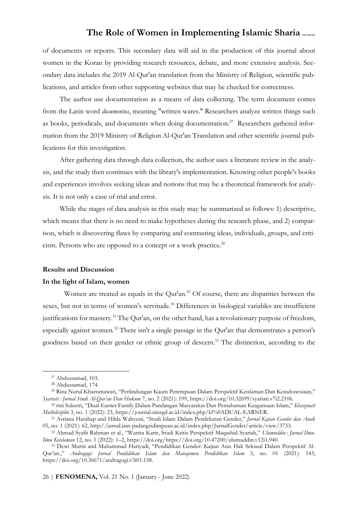of documents or reports. This secondary data will aid in the production of this journal about women in the Koran by providing research resources, debate, and more extensive analysis. Secondary data includes the 2019 Al-Qur'an translation from the Ministry of Religion, scientific publications, and articles from other supporting websites that may be checked for correctness.

The author use documentation as a means of data collecting. The term document comes from the Latin word *documentus*, meaning "written wares." Researchers analyze written things such as books, periodicals, and documents when doing documentation.<sup>27</sup> Researchers gathered information from the 2019 Ministry of Religion Al-Qur'an Translation and other scientific journal publications for this investigation.

After gathering data through data collection, the author uses a literature review in the analysis, and the study then continues with the library's implementation. Knowing other people's books and experiences involves seeking ideas and notions that may be a theoretical framework for analysis. It is not only a case of trial and error.

While the stages of data analysis in this study may be summarized as follows: 1) descriptive, which means that there is no need to make hypotheses during the research phase, and 2) comparison, which is discovering flaws by comparing and contrasting ideas, individuals, groups, and criticism. Persons who are opposed to a concept or a work practice.<sup>28</sup>

### Results and Discussion

### In the light of Islam, women

Women are treated as equals in the Qur'an.<sup>29</sup> Of course, there are disparities between the sexes, but not in terms of women's servitude.<sup>30</sup> Differences in biological variables are insufficient justifications for mastery.<sup>31</sup> The Qur'an, on the other hand, has a revolutionary purpose of freedom, especially against women.<sup>32</sup> There isn't a single passage in the Qur'an that demonstrates a person's goodness based on their gender or ethnic group of descent. <sup>33</sup> The distinction, according to the

<sup>27</sup> Abdussamad, 103.

<sup>28</sup> Abdussamad, 174.

<sup>29</sup> Rina Nurul Kharismawati, "Perlindungan Kaum Perempuan Dalam Perspektif Keislaman Dan Keindonesiaan," Syariati : Jurnal Studi Al-Qur'an Dan Hukum 7, no. 2 (2021): 199, https://doi.org/10.32699/syariati.v7i2.2106.

<sup>&</sup>lt;sup>30</sup> rini Sulastri, "Dual-Earner Family Dalam Pandangan Masyarakat Dan Pemahaman Keagamaan Islam," Khazanah Multidisiplin 3, no. 1 (2022): 23, https://journal.uinsgd.ac.id/index.php/kl%0ADUAL-EARNER.

<sup>31</sup> Asriana Harahap and Hilda Wahyuni, "Studi Islam Dalam Pendekatan Gender," Jurnal Kajian Gender dan Anak 05, no. 1 (2021): 62, http://jurnal.iain-padangsidimpuan.ac.id/index.php/JurnalGender/article/view/3733.

<sup>&</sup>lt;sup>32</sup> Ahmad Syafii Rahman et al., "Wanita Karir, Studi Kritis Perspektif Maqashid Syariah," Ulumuddin : Jurnal Ilmu-Ilmu Keislaman 12, no. 1 (2022): 1–2, https://doi.org/https://doi.org/10.47200/ulumuddin.v12i1.940.

<sup>33</sup> Dewi Murni and Muhammad Hariyadi, "Pendidikan Gender: Kajian Atas Hak Seksual Dalam Perspektif Al-Qur'an.," Andragogi: Jurnal Pendidikan Islam dan Manajemen Pendidikan Islam 3, no. 01 (2021): 143, https://doi.org/10.36671/andragogi.v3i01.158.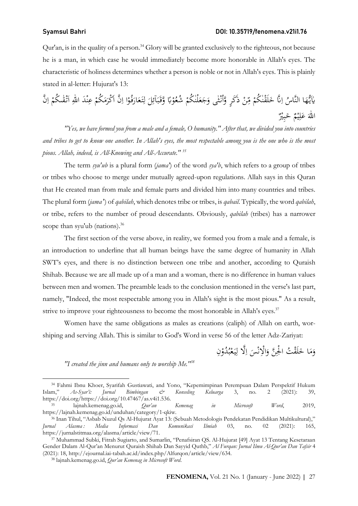### Syamsul Bahri DOI: 10.35719/fenomena.v21i1.76

Qur'an, is in the quality of a person.<sup>34</sup> Glory will be granted exclusively to the righteous, not because he is a man, in which case he would immediately become more honorable in Allah's eyes. The characteristic of holiness determines whether a person is noble or not in Allah's eyes. This is plainly stated in al-letter: Hujurat's 13:

يٰآيُّهَا النَّاسُ اِنَّا خَلَقْنٰكُمْ مِّنْ ذَكَرٍ  $\triangleleft$ ْ .<br>م .<br>. ِ<br>م ِ<br>آ وَّأَنْتٰى وَجَعَلْنٰكُمْ شُعُوْبًا وَّقَبَآئِلَ لِتَعَارَفُوْا اِنَّ أَكْرَمَكُمْ عِنْدَ اللهِ ٱتْقْمَكُمْ اِنَّ  $\ddot{\cdot}$ ب َ با<br>أ **ٔ** َ .<br>. ِ<br>نا  $\overline{\phantom{0}}$ ْ َ َ .<br>تم  $\overline{1}$ ْ  $\overline{\phantom{a}}$ َ  $\overline{\phantom{a}}$ ن ِ ِ<br>ٍہ ا<br>تا <sup>1</sup> ز<br>ا  $\overline{1}$  $\ddot{\phantom{0}}$ ر<br>نا اللهَ عَلِيْمٌ خَبِيْرٌ<br>. **ٔ** ي ِ ر<br>أ ب .<br>.

"Yes, we have formed you from a male and a female, O humanity." After that, we divided you into countries and tribes to get to know one another. In Allah's eyes, the most respectable among you is the one who is the most pious. Allah, indeed, is All-Knowing and All-Accurate." <sup>35</sup>

The term  $\frac{syn'ub}{is}$  a plural form  $\left(\frac{jama}{s}\right)$  of the word  $\frac{sva'b}{s}$ , which refers to a group of tribes or tribes who choose to merge under mutually agreed-upon regulations. Allah says in this Quran that He created man from male and female parts and divided him into many countries and tribes. The plural form (jama<sup>r</sup>) of *qabilah*, which denotes tribe or tribes, is *qabail*. Typically, the word *qabilah*, or tribe, refers to the number of proud descendants. Obviously, qabilah (tribes) has a narrower scope than syu'ub (nations).<sup>36</sup>

The first section of the verse above, in reality, we formed you from a male and a female, is an introduction to underline that all human beings have the same degree of humanity in Allah SWT's eyes, and there is no distinction between one tribe and another, according to Quraish Shihab. Because we are all made up of a man and a woman, there is no difference in human values between men and women. The preamble leads to the conclusion mentioned in the verse's last part, namely, "Indeed, the most respectable among you in Allah's sight is the most pious." As a result, strive to improve your righteousness to become the most honorable in Allah's eyes.<sup>37</sup>

Women have the same obligations as males as creations (caliph) of Allah on earth, worshiping and serving Allah. This is similar to God's Word in verse 56 of the letter Adz-Zariyat:

> وَمَا خَلَقْتُ الْجِنَّ وَالْإِنْسَ اِلَّا لِيَعْبُدُوْنِ <u>و</u> و<br>بر **ٔ** بہ<br>: ِ<br>ل  $\frac{1}{2}$  $\overline{\phantom{0}}$ ن َ .<br>م َ  $\overline{\phantom{a}}$ َ

"I created the jinn and humans only to worship Me." $38$ 

<sup>&</sup>lt;sup>34</sup> Fahmi Ibnu Khoer, Syarifah Gustiawati, and Yono, "Kepemimpinan Perempuan Dalam Perspektif Hukum<br>m," As-Syar'i: Jurnal Bimbingan & Konseling Keluarga 3, no. 2 (2021): 39, Islam," As-Syar'i: Jurnal Bimbingan & Konseling Keluarga 3, no. 2 (2021): 39, https://doi.org/https://doi.org/10.47467/as.v4i1.536. <sup>35</sup> lajnah.kemenag.go.id, Qur'an Kemenag in Microsoft Word, 2019,

https://lajnah.kemenag.go.id/unduhan/category/1-qkiw. <sup>36</sup> Inan Tihul, "Asbab Nuzul Qs Al-Hujurat Ayat 13: (Sebuah Metodologis Pendekatan Pendidikan Multikultural),"

Jurnal Alasma: Media Informasi Dan Komunikasi Ilmiah 03, no. 02 (2021): 165, https://jurnalstitmaa.org/alasma/article/view/71.

<sup>37</sup> Muhammad Subki, Fitrah Sugiarto, and Sumarlin, "Penafsiran QS. Al-Hujurat [49] Ayat 13 Tentang Kesetaraan Gender Dalam Al-Qur'an Menurut Quraish Shihab Dan Sayyid Quthb," Al Furqan: Jurnal Ilmu Al-Qur'an Dan Tafsir 4 (2021): 18, http://ejournal.iai-tabah.ac.id/index.php/Alfurqon/article/view/634.

<sup>38</sup> lajnah.kemenag.go.id, Qur'an Kemenag in Microsoft Word.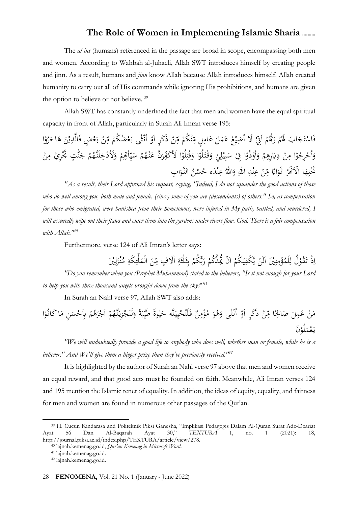The *al ins* (humans) referenced in the passage are broad in scope, encompassing both men and women. According to Wahbah al-Juhaeli, Allah SWT introduces himself by creating people and jinn. As a result, humans and jinn know Allah because Allah introduces himself. Allah created humanity to carry out all of His commands while ignoring His prohibitions, and humans are given the option to believe or not believe.<sup>39</sup>

Allah SWT has constantly underlined the fact that men and women have the equal spiritual capacity in front of Allah, particularly in Surah Ali Imran verse 195:

َ لا ْ َ ّني ِ ا ْ م ُ đ ُّ َ ر ْ م ُ اب َ له َ َ َج ت ْ اس َ ف ُ ع ْ ِضي ُ ا َ ل َ َم ع ٍل ِ ام َ ع ْ ْ ُكم ن ِ ّ م ْ ن ِ ّ ذََك م ٍر ْ ْ ا ثٰى َو نـ ُ ا ْ ْ ُض ُكم ع َ بـ ْ ن ِ م ٍض ّ ْ ع َ بـ َ ْن ي ذِ َّ ال َ ف ا ْ و ُ ر َ اج َ ه ا ْ و ُ ِرج ْ ُخ ا َ و ْ ن ِ م ْ م ِ ِره َ ʮ ِ د َ ا و ْ لُو َ قـٰتـ َ و ْ ي ِ ل ْ ي ِ ب َ س ْ ِ ا في ْ ذُو ْ ُو ا َ و ْ ن ِ م ْ ِري ٰ ٍت َ تجْ ّ ن َ ج ْ م ُ لَنـَّه ْخِ َلاُد َ و ْ م اٰēِِ ِ ّ ي َ س ْ م ُ ْه نـ َ ن ع َّ َ ر ِ ّ َ ا لاُ َكف ْ لُو ِ ت ُ ق ُ ّ ُ ُ ْ ا الاَْĔٰر َ ه ِ ت َتحْ ً اʪ َ ثـَو ْ ن ِ م ْدِ ن عِ ِ ٰ ّ اɍ ٰ ّ اɍ َ َ و ه ْد ن عِ ن ْ <sup>ح</sup> ِ اب ُس َ و الثـَّ

"As a result, their Lord approved his request, saying, "Indeed, I do not squander the good actions of those who do well among you, both male and female, (since) some of you are (descendants) of others." So, as compensation for those who emigrated, were banished from their hometowns, were injured in My path, battled, and murdered, I will assuredly wipe out their flaws and enter them into the gardens under rivers flow. God. There is a fair compensation with Allah.<sup>140</sup>

Furthermore, verse 124 of Ali Imran's letter says:  $\frac{1}{2}$ 

لٰ  $\overline{\phantom{a}}$ ذْ تَقُوْلُ لِلْمُؤْمِنِيْنَ الَنْ يَّكْفِيَكُمْ اَنْ يُحِدَّكُمْ رَبُّكُمْ بِثَلْتَةِ اٰلَافٍ مِّنَ الْمَلْفِكَةِ مُنْزَلِيْنَ<br>ج  $\ddot{\cdot}$ ِ<br>م ئی<br>ن ث لٰ :<br>أ ْ بر<br>بہ ز<br>. <sup>t</sup> ِ ْ بہ<br>۔ ي ِ .<br>-<br>- $\frac{1}{2}$ ڹ نية ∕ ة<br>م ِ <u>ٔ</u> ِ ا ِ مم <u>ہ</u> ِ ل ز!<br>. "Do you remember when you (Prophet Muhammad) stated to the believers, "Is it not enough for your Lord to help you with three thousand angels brought down from the sky? $141$ 

In Surah an Nahl verse 97, Allah SWT also adds:

نَّه َ ِيـ ي ْ ُح لَن َ فـ ٌ ن ِ م ْ ؤ ُ م َ و ُ ه َ ْثٰى و نـ ُ ا ْ َو ذََكٍر ا ْ ن ِ ّ ا م ً الحِ َ ص َ ل َمِ ع ْ َن ً م ٰوة ي َ ً َ ح ة ب ِ ّ طَي ْ م ُ نـَّه َ ِزيـ ْ َج لَن َ و ْ م ُ ه َ ر ْ ا ِن َج َ ْس ا ِʪَح َ م ا ْ ُو َكانـ َن ْ لُو َ م ْ ع َ يـ

"We will undoubtedly provide a good life to anybody who does well, whether man or female, while he is a believer." And We'll give them a bigger prize than they've previously received."<sup>42</sup>

It is highlighted by the author of Surah an Nahl verse 97 above that men and women receive an equal reward, and that good acts must be founded on faith. Meanwhile, Ali Imran verses 124 and 195 mention the Islamic tenet of equality. In addition, the ideas of equity, equality, and fairness for men and women are found in numerous other passages of the Qur'an.

<sup>39</sup> H. Cucun Kindarasa and Politeknik Piksi Ganesha, "Implikasi Pedagogis Dalam Al-Quran Surat Adz-Dzariat Ayat 56 Dan Al-Baqarah Ayat 30," TEXTURA 1, no. 1 (2021): 18, http://journal.piksi.ac.id/index.php/TEXTURA/article/view/278.

<sup>40</sup> lajnah.kemenag.go.id, Qur'an Kemenag in Microsoft Word.

<sup>41</sup> lajnah.kemenag.go.id.

<sup>42</sup> lajnah.kemenag.go.id.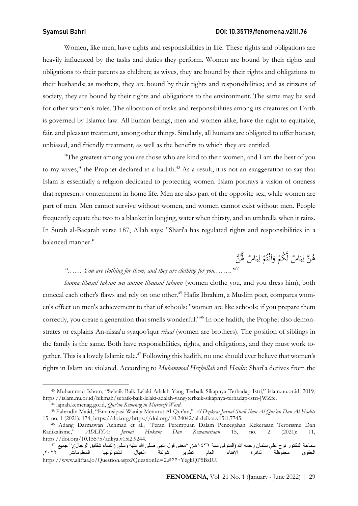### Syamsul Bahri DOI: 10.35719/fenomena.v21i1.76

Women, like men, have rights and responsibilities in life. These rights and obligations are heavily influenced by the tasks and duties they perform. Women are bound by their rights and obligations to their parents as children; as wives, they are bound by their rights and obligations to their husbands; as mothers, they are bound by their rights and responsibilities; and as citizens of society, they are bound by their rights and obligations to the environment. The same may be said for other women's roles. The allocation of tasks and responsibilities among its creatures on Earth is governed by Islamic law. All human beings, men and women alike, have the right to equitable, fair, and pleasant treatment, among other things. Similarly, all humans are obligated to offer honest, unbiased, and friendly treatment, as well as the benefits to which they are entitled.

"The greatest among you are those who are kind to their women, and I am the best of you to my wives," the Prophet declared in a hadith.<sup>43</sup> As a result, it is not an exaggeration to say that Islam is essentially a religion dedicated to protecting women. Islam portrays a vision of oneness that represents contentment in home life. Men are also part of the opposite sex, while women are part of men. Men cannot survive without women, and women cannot exist without men. People frequently equate the two to a blanket in longing, water when thirsty, and an umbrella when it rains. In Surah al-Baqarah verse 187, Allah says: "Shari'a has regulated rights and responsibilities in a balanced manner."

> لَّٰهُ بَّہَ<br>ُ هُنَّ لِبَاسٌ لَّكُمْ وَأَنْتُمْ لِبَاسٌ لَّهُنَّ<br>مَسَ  $\ddot{\phantom{0}}$ ب ا ْ و<br>ته ْ  $\frac{1}{2}$ ا َ ْ  $\ddot{\cdot}$ ب ا

## "...... You are clothing for them, and they are clothing for you........

hunna libasul lakum wa antum libaasul lahunn (women clothe you, and you dress him), both conceal each other's flaws and rely on one other.<sup>45</sup> Hafiz Ibrahim, a Muslim poet, compares women's effect on men's achievement to that of schools: "women are like schools; if you prepare them correctly, you create a generation that smells wonderful."46 In one hadith, the Prophet also demonstrates or explains An-nisaa'u syaqoo'iqur *rijaal* (women are brothers). The position of siblings in the family is the same. Both have responsibilities, rights, and obligations, and they must work together. This is a lovely Islamic tale.<sup>47</sup> Following this hadith, no one should ever believe that women's rights in Islam are violated. According to Muhammad Hezbollah and Haidir, Shari'a derives from the

<sup>43</sup> Muhammad Ishom, "Sebaik-Baik Lelaki Adalah Yang Terbaik Sikapnya Terhadap Istri," islam.nu.or.id, 2019, https://islam.nu.or.id/hikmah/sebaik-baik-lelaki-adalah-yang-terbaik-sikapnya-terhadap-istri-JWZfe.

<sup>44</sup> lajnah.kemenag.go.id, Qur'an Kemenag in Microsoft Word.

<sup>45</sup> Fahrudin Majid, "Emansipasi Wanita Menurut Al-Qur'an," Al-Dzikra: Jurnal Studi Ilmu Al-Qur'an Dan Al-Hadits 15, no. 1 (2021): 174, https://doi.org/https://doi.org/10.24042/al-dzikra.v15i1.7745.

<sup>46</sup> Adang Darmawan Achmad et al., "Peran Perempuan Dalam Pencegahan Kekerasan Terorisme Dan Radikalisme," ADLIYA: Jurnal Hukum Dan Kemanusiaan 15, no. 2 (2021): 11, https://doi.org/10.15575/adliya.v15i2.9244.

سماحة الدكتور نوح علي سلمان رحمه الله (المتوفى سنة ١٤٣٢هـ), "معنى قول النبي صلى الله عليه وسلم: (النساء شقائق الرجال)," جميع 4<sup>7</sup><br>الحقوق محفوظة لدائرة الإفتاء العام تطوير شركة الحقوق محفوظة لدائرة الإفتاء العام تطوير شركة الخيال لتكنولوجيا https://www.aliftaa.jo/Question.aspx?QuestionId=2.#٥٥٠YegkQP5BzIU.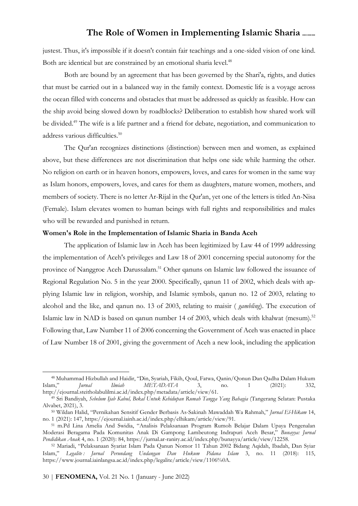justest. Thus, it's impossible if it doesn't contain fair teachings and a one-sided vision of one kind. Both are identical but are constrained by an emotional sharia level.<sup>48</sup>

Both are bound by an agreement that has been governed by the Shari'a, rights, and duties that must be carried out in a balanced way in the family context. Domestic life is a voyage across the ocean filled with concerns and obstacles that must be addressed as quickly as feasible. How can the ship avoid being slowed down by roadblocks? Deliberation to establish how shared work will be divided.<sup>49</sup> The wife is a life partner and a friend for debate, negotiation, and communication to address various difficulties.<sup>50</sup>

The Qur'an recognizes distinctions (distinction) between men and women, as explained above, but these differences are not discrimination that helps one side while harming the other. No religion on earth or in heaven honors, empowers, loves, and cares for women in the same way as Islam honors, empowers, loves, and cares for them as daughters, mature women, mothers, and members of society. There is no letter Ar-Rijal in the Qur'an, yet one of the letters is titled An-Nisa (Female). Islam elevates women to human beings with full rights and responsibilities and males who will be rewarded and punished in return.

### Women's Role in the Implementation of Islamic Sharia in Banda Aceh

The application of Islamic law in Aceh has been legitimized by Law 44 of 1999 addressing the implementation of Aceh's privileges and Law 18 of 2001 concerning special autonomy for the province of Nanggroe Aceh Darussalam.<sup>51</sup> Other qanuns on Islamic law followed the issuance of Regional Regulation No. 5 in the year 2000. Specifically, qanun 11 of 2002, which deals with applying Islamic law in religion, worship, and Islamic symbols, qanun no. 12 of 2003, relating to alcohol and the like, and qanun no. 13 of 2003, relating to maisir ( gambling). The execution of Islamic law in NAD is based on qanun number 14 of 2003, which deals with khalwat (mesum).<sup>52</sup> Following that, Law Number 11 of 2006 concerning the Government of Aceh was enacted in place of Law Number 18 of 2001, giving the government of Aceh a new look, including the application

<sup>&</sup>lt;sup>48</sup> Muhammad Hizbullah and Haidir, "Din, Syariah, Fikih, Qoul, Fatwa, Qanin/Qonun Dan Qadha Dalam Hukum<br>m," *Iurnal Ilmiah METADATA* 3, no. 1 (2021): 332, Islam," Jurnal Ilmiah METADATA 3, no. 1 (2021): 332, http://ejournal.steitholabulilmi.ac.id/index.php/metadata/article/view/61.

<sup>&</sup>lt;sup>49</sup> Sri Bandiyah, Sebelum Ijab Kabul, Bekal Untuk Kehidupan Rumah Tangga Yang Bahagia (Tangerang Selatan: Pustaka Alvabet, 2021), 3.

<sup>&</sup>lt;sup>50</sup> Wildan Halid, "Pernikahan Sensitif Gender Berbasis As-Sakinah Mawaddah Wa Rahmah," Jurnal El-Hikam 14, no. 1 (2021): 147, https://ejournal.iainh.ac.id/index.php/elhikam/article/view/91.

<sup>51</sup> m.Pd Lina Amelia And Swidia, "Analisis Pelaksanaan Program Rumoh Belajar Dalam Upaya Pengenalan Moderasi Beragama Pada Komunitas Anak Di Gampong Lambeutong Indrapuri Aceh Besar," Bunayya: Jurnal Pendidikan Anak 4, no. 1 (2020): 84, https://jurnal.ar-raniry.ac.id/index.php/bunayya/article/view/12258.

<sup>52</sup> Mariadi, "Pelaksanaan Syariat Islam Pada Qanun Nomor 11 Tahun 2002 Bidang Aqidah, Ibadah, Dan Syiar Islam," Legalite: Jurnal Perundang Undangan Dan Hukum Pidana Islam 3, no. 11 (2018): 115, https://www.journal.iainlangsa.ac.id/index.php/legalite/article/view/1106%0A.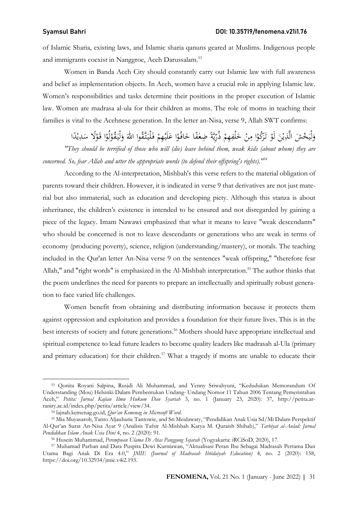of Islamic Sharia, existing laws, and Islamic sharia qanuns geared at Muslims. Indigenous people and immigrants coexist in Nanggroe, Aceh Darussalam.<sup>53</sup>

Women in Banda Aceh City should constantly carry out Islamic law with full awareness and belief as implementation objects. In Aceh, women have a crucial role in applying Islamic law. Women's responsibilities and tasks determine their positions in the proper execution of Islamic law. Women are madrasa al-ula for their children as moms. The role of moms in teaching their families is vital to the Acehnese generation. In the letter an-Nisa, verse 9, Allah SWT confirms:

ْ وَلْيَخْشَ الَّذِيْنَ لَوْ تَرَكُوْا مِنْ خَلْفِهِمْ ذُرِّيَّةً ضِعْفًا خَافُوْا عَلَيْهِمْ فَلْيَتَّقُوا الله وَلْيَقُوْلُوْا قَوْلًا سَدِيْدًا<br>وَلْيَخْشَ الَّذِيْنَ لَوْ تَرَكُوْا مِنْ خَلْفِهِمْ ذُرِّيَّةً ضِعْفًا خَاف **ٔ ء** <u>و</u> .<br>م .<br>م  $\ddot{\phantom{a}}$ ي<br>يا ِ ْ ِ<br>م .<br>. ْ ∕' <u>ٔ</u> ر'<br>⁄ <u>ٔ</u> .<br>ب ه<br>يو َ  $\ddot{\cdot}$ .<br>ف  $\ddot{\phantom{0}}$ ر<br>با ْ <u>ٔ</u>  $\ddot{\cdot}$ َ و<br>. .<br>. ِ<br>: ه<br>ي .<br>.

"They should be terrified of those who will (die) leave behind them, weak kids (about whom) they are concerned. So, fear Allah and utter the appropriate words (to defend their offspring's rights).<sup>154</sup>

According to the Al-interpretation, Mishbah's this verse refers to the material obligation of parents toward their children. However, it is indicated in verse 9 that derivatives are not just material but also immaterial, such as education and developing piety. Although this stanza is about inheritance, the children's existence is intended to be ensured and not disregarded by gaining a piece of the legacy. Imam Nawawi emphasized that what it means to leave "weak descendants" who should be concerned is not to leave descendants or generations who are weak in terms of economy (producing poverty), science, religion (understanding/mastery), or morals. The teaching included in the Qur'an letter An-Nisa verse 9 on the sentences "weak offspring," "therefore fear Allah," and "right words" is emphasized in the Al-Mishbah interpretation.<sup>55</sup> The author thinks that the poem underlines the need for parents to prepare an intellectually and spiritually robust generation to face varied life challenges.

Women benefit from obtaining and distributing information because it protects them against oppression and exploitation and provides a foundation for their future lives. This is in the best interests of society and future generations.<sup>56</sup> Mothers should have appropriate intellectual and spiritual competence to lead future leaders to become quality leaders like madrasah al-Ula (primary and primary education) for their children.<sup>57</sup> What a tragedy if moms are unable to educate their

<sup>53</sup> Qonita Royani Salpina, Rusjdi Ali Muhammad, and Yenny Sriwahyuni, "Kedudukan Memorandum Of Understanding (Mou) Helsinki Dalam Pembentukan Undang- Undang Nomor 11 Tahun 2006 Tentang Pemerintahan Aceh," Petita: Jurnal Kajian Ilmu Hukum Dan Syariah 3, no. 1 (January 23, 2020): 37, http://petita.arraniry.ac.id/index.php/petita/article/view/34.

<sup>54</sup> lajnah.kemenag.go.id, Qur'an Kemenag in Microsoft Word.

<sup>55</sup> Mia Muyasaroh, Tanto Aljauharie Tantowie, and Sri Meidawaty, "Pendidikan Anak Usia Sd/Mi Dalam Perspektif Al-Qur'an Surat An-Nisa Ayat 9 (Analisis Tafsir Al-Mishbah Karya M. Quraish Shihab)," Tarbiyat al-Aulad: Jurnal Pendidikan Islam Anak Usia Dini 4, no. 2 (2020): 91.

<sup>56</sup> Husein Muhammad, Perempuan Ulama Di Atas Panggung Sejarah (Yogyakarta: iRCiSoD, 2020), 17.

<sup>57</sup> Muhamad Parhan and Dara Puspita Dewi Kurniawan, "Aktualisasi Peran Ibu Sebagai Madrasah Pertama Dan Utama Bagi Anak Di Era 4.0," JMIE (Journal of Madrasah Ibtidaiyah Education) 4, no. 2 (2020): 158, https://doi.org/10.32934/jmie.v4i2.193.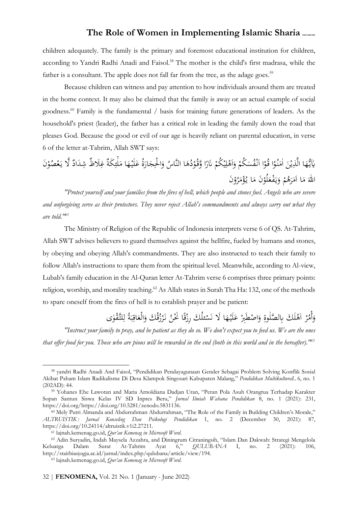children adequately. The family is the primary and foremost educational institution for children, according to Yandri Radhi Anadi and Faisol.<sup>58</sup> The mother is the child's first madrasa, while the father is a consultant. The apple does not fall far from the tree, as the adage goes.<sup>59</sup>

Because children can witness and pay attention to how individuals around them are treated in the home context. It may also be claimed that the family is away or an actual example of social goodness.<sup>60</sup> Family is the fundamental / basis for training future generations of leaders. As the household's priest (leader), the father has a critical role in leading the family down the road that pleases God. Because the good or evil of our age is heavily reliant on parental education, in verse 6 of the letter at-Tahrim, Allah SWT says:

َʮٰ ا ه يـ ُّ ْن ذِ َّ ال ا ُو نـ اٰم ا ُو قـ ُكم ُس ْف نـ ا ُكم ل َه و ا َر ʭ ُ د ُو وقـ َّ ا ه ُ ُ النَّاس ة ار ْ الحِج و ا ه لَيـ ع َ .<br>ب ه<br>يو <u>ٔ</u>  $\overline{\phantom{a}}$ <u>ٔ</u> ْ  $\overline{a}$  $\mathbf{S}$ ْ ا<br>ا ي ِ **ش** ا َ ً <u>ٔ</u> **م** َ **م**<br>. َ َ **ٔ** َ  $\frac{1}{2}$ لٰ  $\overline{\phantom{a}}$ مَلْئِكَةٌ غِلَاظٌ شِدَادٌ لَّا يَعْصُوْنَ ِ<br>پُر ِ  $\overline{\phantom{a}}$ ب<br>:  $\ddot{\phantom{0}}$ ر<br>نا اللّٰهَ مَا أَمَرَهُمْ وَيَفْعَلَوْنَ مَا يُؤْمَرُوْنَ<br>وَيَسْتَمَرُّونَ  $\overline{\phantom{a}}$ **ٔ**  $\overline{\phantom{a}}$ ةً<br>م َ <u>ٔ</u> َ ب<br>أ و<br>. ْ َ  $\overline{\phantom{a}}$ 

"Protect yourself and your families from the fires of hell, which people and stones fuel. Angels who are severe and unforgiving serve as their protectors. They never reject Allah's commandments and always carry out what they are told."<sup>61</sup>

The Ministry of Religion of the Republic of Indonesia interprets verse 6 of QS. At-Tahrim, Allah SWT advises believers to guard themselves against the hellfire, fueled by humans and stones, by obeying and obeying Allah's commandments. They are also instructed to teach their family to follow Allah's instructions to spare them from the spiritual level. Meanwhile, according to Al-view, Lubab's family education in the Al-Quran letter At-Tahrim verse 6 comprises three primary points: religion, worship, and morality teaching.<sup>62</sup> As Allah states in Surah Tha Ha: 132, one of the methods to spare oneself from the fires of hell is to establish prayer and be patient:

> ا ه لَيـ ع ِبر ْطَ اص ِ و َك ِ ʪ َّ لصلٰوة لَ َه ا ر ُ أْم و َ لا َس َك ئن لُ ا ق ِرز ُ ُ َك َنحْن ق ُ ز َر نـُ ة اق الْع و َّلتـ ْ ٰو ل ى ق َ **ٔ** َ .<br>ا َ ة.<br>أ .<br>.<br>. َ .<br>. ة<br>. :<br>نا ر<br>.  $\ddot{\cdot}$ ب ِ َ <u>و</u><br>. ِ

"Instruct your family to pray, and be patient as they do so. We don't expect you to feed us. We are the ones that offer food for you. Those who are pious will be rewarded in the end (both in this world and in the hereafter).<sup>163</sup>

<sup>58</sup> yandri Radhi Anadi And Faisol, "Pendidikan Pendayagunaan Gender Sebagai Problem Solving Konflik Sosial Akibat Paham Islam Radikalisme Di Desa Klampok Singosari Kabupaten Malang," Pendidikan MultikulturaL 6, no. 1 (202AD): 44.

<sup>59</sup> Yohanes Ehe Lawotan and Maria Arnoldiana Dadjan Uran, "Peran Pola Asuh Orangtua Terhadap Karakter Sopan Santun Siswa Kelas IV SD Inpres Beru," Jurnal Ilmiah Wahana Pendidikan 8, no. 1 (2021): 231, https://doi.org/https://doi.org/10.5281/zenodo.5831136.

<sup>60</sup> Mely Putri Almanda and Abdurrahman Abdurrahman, "The Role of the Family in Building Children's Morale," ALTRUISTIK: Jurnal Konseling Dan Psikologi Pendidikan 1, no. 2 (December 30, 2021): 87, https://doi.org/10.24114/altruistik.v1i2.27211.

<sup>61</sup> lajnah.kemenag.go.id, Qur'an Kemenag in Microsoft Word.

<sup>62</sup> Adin Suryadin, Indah Maysela Azzahra, and Diningrum Citraningsih, "Islam Dan Dakwah: Strategi Mengelola Keluarga Dalam Surat At-Tahrim Ayat 6," QULUBANA I, no. 2 (2021): 106, http://staitbiasjogja.ac.id/jurnal/index.php/qulubana/article/view/194.

<sup>63</sup> lajnah.kemenag.go.id, Qur'an Kemenag in Microsoft Word.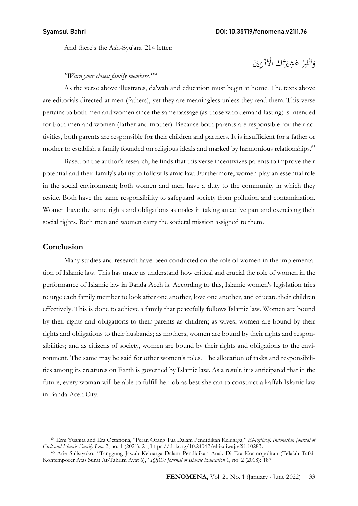And there's the Ash-Syu'ara '214 letter:

### وَاَنْذِرْ عَشِيْرَتَكَ الْاَقْرَبِيْنَ َ ت  $\overline{\phantom{a}}$ ْ .<br>أ ن  $\vdots$ ا َ

### "Warn your closest family members.<sup>164</sup>

As the verse above illustrates, da'wah and education must begin at home. The texts above are editorials directed at men (fathers), yet they are meaningless unless they read them. This verse pertains to both men and women since the same passage (as those who demand fasting) is intended for both men and women (father and mother). Because both parents are responsible for their activities, both parents are responsible for their children and partners. It is insufficient for a father or mother to establish a family founded on religious ideals and marked by harmonious relationships.<sup>65</sup>

Based on the author's research, he finds that this verse incentivizes parents to improve their potential and their family's ability to follow Islamic law. Furthermore, women play an essential role in the social environment; both women and men have a duty to the community in which they reside. Both have the same responsibility to safeguard society from pollution and contamination. Women have the same rights and obligations as males in taking an active part and exercising their social rights. Both men and women carry the societal mission assigned to them.

### Conclusion

Many studies and research have been conducted on the role of women in the implementation of Islamic law. This has made us understand how critical and crucial the role of women in the performance of Islamic law in Banda Aceh is. According to this, Islamic women's legislation tries to urge each family member to look after one another, love one another, and educate their children effectively. This is done to achieve a family that peacefully follows Islamic law. Women are bound by their rights and obligations to their parents as children; as wives, women are bound by their rights and obligations to their husbands; as mothers, women are bound by their rights and responsibilities; and as citizens of society, women are bound by their rights and obligations to the environment. The same may be said for other women's roles. The allocation of tasks and responsibilities among its creatures on Earth is governed by Islamic law. As a result, it is anticipated that in the future, every woman will be able to fulfill her job as best she can to construct a kaffah Islamic law in Banda Aceh City.

<sup>&</sup>lt;sup>64</sup> Erni Yusnita and Era Octafiona, "Peran Orang Tua Dalam Pendidikan Keluarga," El-Izdiwaj: Indonesian Journal of Civil and Islamic Family Law 2, no. 1 (2021): 21, https://doi.org/10.24042/el-izdiwaj.v2i1.10283.

<sup>65</sup> Arie Sulistyoko, "Tanggung Jawab Keluarga Dalam Pendidikan Anak Di Era Kosmopolitan (Tela'ah Tafsir Kontemporer Atas Surat At-Tahrim Ayat 6)," IQRO: Journal of Islamic Education 1, no. 2 (2018): 187.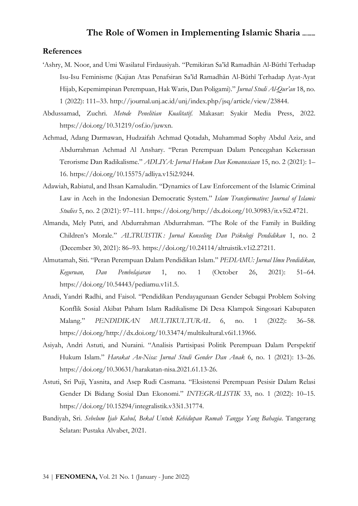### References

- 'Ashry, M. Noor, and Umi Wasilatul Firdausiyah. "Pemikiran Sa'īd Ramadhān Al-Būthī Terhadap Isu-Isu Feminisme (Kajian Atas Penafsiran Sa'īd Ramadhān Al-Būthī Terhadap Ayat-Ayat Hijab, Kepemimpinan Perempuan, Hak Waris, Dan Poligami)." Jurnal Studi Al-Qur'an 18, no. 1 (2022): 111–33. http://journal.unj.ac.id/unj/index.php/jsq/article/view/23844.
- Abdussamad, Zuchri. Metode Penelitian Kualitatif. Makasar: Syakir Media Press, 2022. https://doi.org/10.31219/osf.io/juwxn.
- Achmad, Adang Darmawan, Hudzaifah Achmad Qotadah, Muhammad Sophy Abdul Aziz, and Abdurrahman Achmad Al Anshary. "Peran Perempuan Dalam Pencegahan Kekerasan Terorisme Dan Radikalisme." ADLIYA: Jurnal Hukum Dan Kemanusiaan 15, no. 2 (2021): 1– 16. https://doi.org/10.15575/adliya.v15i2.9244.
- Adawiah, Rabiatul, and Ihsan Kamaludin. "Dynamics of Law Enforcement of the Islamic Criminal Law in Aceh in the Indonesian Democratic System." Islam Transformative: Journal of Islamic Studies 5, no. 2 (2021): 97–111. https://doi.org/http://dx.doi.org/10.30983/it.v5i2.4721.
- Almanda, Mely Putri, and Abdurrahman Abdurrahman. "The Role of the Family in Building Children's Morale." ALTRUISTIK : Jurnal Konseling Dan Psikologi Pendidikan 1, no. 2 (December 30, 2021): 86–93. https://doi.org/10.24114/altruistik.v1i2.27211.
- Almutamah, Siti. "Peran Perempuan Dalam Pendidikan Islam." PEDIAMU: Jurnal Ilmu Pendidikan, Keguruan, Dan Pembelajaran 1, no. 1 (October 26, 2021): 51–64. https://doi.org/10.54443/pediamu.v1i1.5.
- Anadi, Yandri Radhi, and Faisol. "Pendidikan Pendayagunaan Gender Sebagai Problem Solving Konflik Sosial Akibat Paham Islam Radikalisme Di Desa Klampok Singosari Kabupaten Malang." PENDIDIKAN MULTIKULTURAL 6, no. 1 (2022): 36–58. https://doi.org/http://dx.doi.org/10.33474/multikultural.v6i1.13966.
- Asiyah, Andri Astuti, and Nuraini. "Analisis Partisipasi Politik Perempuan Dalam Perspektif Hukum Islam." Harakat An-Nisa: Jurnal Studi Gender Dan Anak 6, no. 1 (2021): 13–26. https://doi.org/10.30631/harakatan-nisa.2021.61.13-26.
- Astuti, Sri Puji, Yasnita, and Asep Rudi Casmana. "Eksistensi Perempuan Pesisir Dalam Relasi Gender Di Bidang Sosial Dan Ekonomi." INTEGRALISTIK 33, no. 1 (2022): 10–15. https://doi.org/10.15294/integralistik.v33i1.31774.
- Bandiyah, Sri. Sebelum Ijab Kabul, Bekal Untuk Kehidupan Rumah Tangga Yang Bahagia. Tangerang Selatan: Pustaka Alvabet, 2021.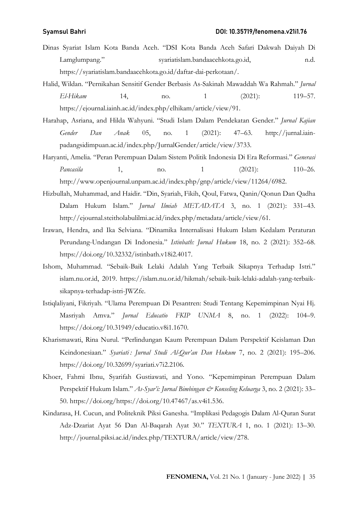- Dinas Syariat Islam Kota Banda Aceh. "DSI Kota Banda Aceh Safari Dakwah Daiyah Di Lamglumpang." syariatislam.bandaacehkota.go.id, n.d. https://syariatislam.bandaacehkota.go.id/daftar-dai-perkotaan/.
- Halid, Wildan. "Pernikahan Sensitif Gender Berbasis As-Sakinah Mawaddah Wa Rahmah." Jurnal El-Hikam 14, no. 1 (2021): 119–57. https://ejournal.iainh.ac.id/index.php/elhikam/article/view/91.
- Harahap, Asriana, and Hilda Wahyuni. "Studi Islam Dalam Pendekatan Gender." Jurnal Kajian Gender Dan Anak 05, no. 1 (2021): 47–63. http://jurnal.iainpadangsidimpuan.ac.id/index.php/JurnalGender/article/view/3733.
- Haryanti, Amelia. "Peran Perempuan Dalam Sistem Politik Indonesia Di Era Reformasi." Generasi Pancasila 1, no. 1 (2021): 110–26. http://www.openjournal.unpam.ac.id/index.php/gnp/article/view/11264/6982.
- Hizbullah, Muhammad, and Haidir. "Din, Syariah, Fikih, Qoul, Fatwa, Qanin/Qonun Dan Qadha Dalam Hukum Islam." Jurnal Ilmiah METADATA 3, no. 1 (2021): 331–43. http://ejournal.steitholabulilmi.ac.id/index.php/metadata/article/view/61.
- Irawan, Hendra, and Ika Selviana. "Dinamika Internalisasi Hukum Islam Kedalam Peraturan Perundang-Undangan Di Indonesia." Istinbath: Jurnal Hukum 18, no. 2 (2021): 352–68. https://doi.org/10.32332/istinbath.v18i2.4017.
- Ishom, Muhammad. "Sebaik-Baik Lelaki Adalah Yang Terbaik Sikapnya Terhadap Istri." islam.nu.or.id, 2019. https://islam.nu.or.id/hikmah/sebaik-baik-lelaki-adalah-yang-terbaiksikapnya-terhadap-istri-JWZfe.
- Istiqlaliyani, Fikriyah. "Ulama Perempuan Di Pesantren: Studi Tentang Kepemimpinan Nyai Hj. Masriyah Amva." Jurnal Educatio FKIP UNMA 8, no. 1 (2022): 104–9. https://doi.org/10.31949/educatio.v8i1.1670.
- Kharismawati, Rina Nurul. "Perlindungan Kaum Perempuan Dalam Perspektif Keislaman Dan Keindonesiaan." Syariati: Jurnal Studi Al-Qur'an Dan Hukum 7, no. 2 (2021): 195–206. https://doi.org/10.32699/syariati.v7i2.2106.
- Khoer, Fahmi Ibnu, Syarifah Gustiawati, and Yono. "Kepemimpinan Perempuan Dalam Perspektif Hukum Islam." As-Syar'i: Jurnal Bimbingan & Konseling Keluarga 3, no. 2 (2021): 33-50. https://doi.org/https://doi.org/10.47467/as.v4i1.536.
- Kindarasa, H. Cucun, and Politeknik Piksi Ganesha. "Implikasi Pedagogis Dalam Al-Quran Surat Adz-Dzariat Ayat 56 Dan Al-Baqarah Ayat 30." TEXTURA 1, no. 1 (2021): 13–30. http://journal.piksi.ac.id/index.php/TEXTURA/article/view/278.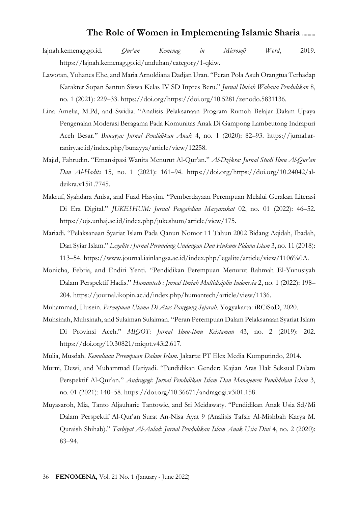- lajnah.kemenag.go.id. Qur'an Kemenag in Microsoft Word, 2019. https://lajnah.kemenag.go.id/unduhan/category/1-qkiw.
- Lawotan, Yohanes Ehe, and Maria Arnoldiana Dadjan Uran. "Peran Pola Asuh Orangtua Terhadap Karakter Sopan Santun Siswa Kelas IV SD Inpres Beru." Jurnal Ilmiah Wahana Pendidikan 8, no. 1 (2021): 229–33. https://doi.org/https://doi.org/10.5281/zenodo.5831136.
- Lina Amelia, M.Pd, and Swidia. "Analisis Pelaksanaan Program Rumoh Belajar Dalam Upaya Pengenalan Moderasi Beragama Pada Komunitas Anak Di Gampong Lambeutong Indrapuri Aceh Besar." Bunayya: Jurnal Pendidikan Anak 4, no. 1 (2020): 82–93. https://jurnal.arraniry.ac.id/index.php/bunayya/article/view/12258.
- Majid, Fahrudin. "Emansipasi Wanita Menurut Al-Qur'an." Al-Dzikra: Jurnal Studi Ilmu Al-Qur'an Dan Al-Hadits 15, no. 1 (2021): 161–94. https://doi.org/https://doi.org/10.24042/aldzikra.v15i1.7745.
- Makruf, Syahdara Anisa, and Fuad Hasyim. "Pemberdayaan Perempuan Melalui Gerakan Literasi Di Era Digital." *JUKESHUM: Jurnal Pengabdian Masyarakat* 02, no. 01 (2022): 46–52. https://ojs.unhaj.ac.id/index.php/jukeshum/article/view/175.
- Mariadi. "Pelaksanaan Syariat Islam Pada Qanun Nomor 11 Tahun 2002 Bidang Aqidah, Ibadah, Dan Syiar Islam." Legalite : Jurnal Perundang Undangan Dan Hukum Pidana Islam 3, no. 11 (2018): 113–54. https://www.journal.iainlangsa.ac.id/index.php/legalite/article/view/1106%0A.
- Monicha, Febria, and Endiri Yenti. "Pendidikan Perempuan Menurut Rahmah El-Yunusiyah Dalam Perspektif Hadis." Humantech : Jurnal Ilmiah Multidisiplin Indonesia 2, no. 1 (2022): 198– 204. https://journal.ikopin.ac.id/index.php/humantech/article/view/1136.
- Muhammad, Husein. Perempuan Ulama Di Atas Panggung Sejarah. Yogyakarta: iRCiSoD, 2020.
- Muhsinah, Muhsinah, and Sulaiman Sulaiman. "Peran Perempuan Dalam Pelaksanaan Syariat Islam Di Provinsi Aceh." MIQOT: Jurnal Ilmu-Ilmu Keislaman 43, no. 2 (2019): 202. https://doi.org/10.30821/miqot.v43i2.617.
- Mulia, Musdah. Kemuliaan Perempuan Dalam Islam. Jakarta: PT Elex Media Komputindo, 2014.
- Murni, Dewi, and Muhammad Hariyadi. "Pendidikan Gender: Kajian Atas Hak Seksual Dalam Perspektif Al-Qur'an." Andragogi: Jurnal Pendidikan Islam Dan Manajemen Pendidikan Islam 3, no. 01 (2021): 140–58. https://doi.org/10.36671/andragogi.v3i01.158.
- Muyasaroh, Mia, Tanto Aljauharie Tantowie, and Sri Meidawaty. "Pendidikan Anak Usia Sd/Mi Dalam Perspektif Al-Qur'an Surat An-Nisa Ayat 9 (Analisis Tafsir Al-Mishbah Karya M. Quraish Shihab)." Tarbiyat Al-Aulad: Jurnal Pendidikan Islam Anak Usia Dini 4, no. 2 (2020): 83–94.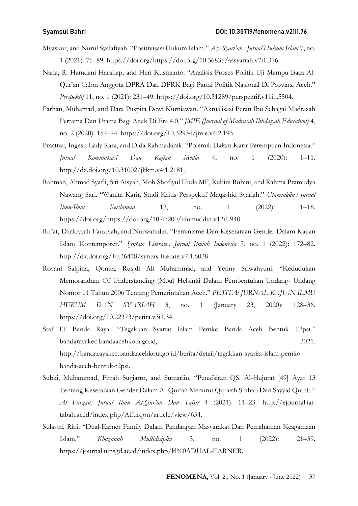- Myaskur, and Nurul Syalafiyah. "Positivisasi Hukum Islam." Asy-Syari'ah : Jurnal Hukum Islam 7, no. 1 (2021): 75–89. https://doi.org/https://doi.org/10.36835/assyariah.v7i1.376.
- Nana, R. Hamdani Harahap, and Heri Kusmanto. "Analisis Proses Politik Uji Mampu Baca Al-Qur'an Calon Anggota DPRA Dan DPRK Bagi Partai Politik Nasional Di Provinsi Aceh." Perspektif 11, no. 1 (2021): 231–49. https://doi.org/10.31289/perspektif.v11i1.5504.
- Parhan, Muhamad, and Dara Puspita Dewi Kurniawan. "Aktualisasi Peran Ibu Sebagai Madrasah Pertama Dan Utama Bagi Anak Di Era 4.0." JMIE (Journal of Madrasah Ibtidaiyah Education) 4, no. 2 (2020): 157–74. https://doi.org/10.32934/jmie.v4i2.193.
- Prastiwi, Ingesti Lady Rara, and Dida Rahmadanik. "Polemik Dalam Karir Perempuan Indonesia." Jurnal Komunikasi Dan Kajian Media 4, no. 1 (2020): 1–11. http://dx.doi.org/10.31002/jkkm.v4i1.2181.
- Rahman, Ahmad Syafii, Siti Aisyah, Moh Shofiyul Huda MF, Rubini Rubini, and Rahma Pramudya Nawang Sari. "Wanita Karir, Studi Kritis Perspektif Maqashid Syariah." Ulumuddin : Jurnal Ilmu-Ilmu Keislaman 12, no. 1 (2022): 1–18. https://doi.org/https://doi.org/10.47200/ulumuddin.v12i1.940.
- Rif'at, Dzakiyyah Fauziyah, and Nurwahidin. "Feminisme Dan Kesetaraan Gender Dalam Kajian Islam Kontemporer." Syntax Literate ; Jurnal Ilmiah Indonesia 7, no. 1 (2022): 172–82. http://dx.doi.org/10.36418/syntax-literate.v7i1.6038.
- Royani Salpina, Qonita, Rusjdi Ali Muhammad, and Yenny Sriwahyuni. "Kedudukan Memorandum Of Understanding (Mou) Helsinki Dalam Pembentukan Undang- Undang Nomor 11 Tahun 2006 Tentang Pemerintahan Aceh." PETITA: JURNAL KAJIAN ILMU HUKUM DAN SYARIAH 3, no. 1 (January 23, 2020): 128–36. https://doi.org/10.22373/petita.v3i1.34.
- Staf IT Banda Raya. "Tegakkan Syariat Islam Pemko Banda Aceh Bentuk T2psi." bandarayakec.bandaacehkota.go.id, 2021. http://bandarayakec.bandaacehkota.go.id/berita/detail/tegakkan-syariat-islam-pemkobanda-aceh-bentuk-t2psi.
- Subki, Muhammad, Fitrah Sugiarto, and Sumarlin. "Penafsiran QS. Al-Hujurat [49] Ayat 13 Tentang Kesetaraan Gender Dalam Al-Qur'an Menurut Quraish Shihab Dan Sayyid Quthb." Al Furqan: Jurnal Ilmu Al-Qur'an Dan Tafsir 4 (2021): 11–23. http://ejournal.iaitabah.ac.id/index.php/Alfurqon/article/view/634.
- Sulastri, Rini. "Dual-Earner Family Dalam Pandangan Masyarakat Dan Pemahaman Keagamaan Islam." Khazanah Multidisiplin 3, no. 1 (2022): 21–39. https://journal.uinsgd.ac.id/index.php/kl%0ADUAL-EARNER.